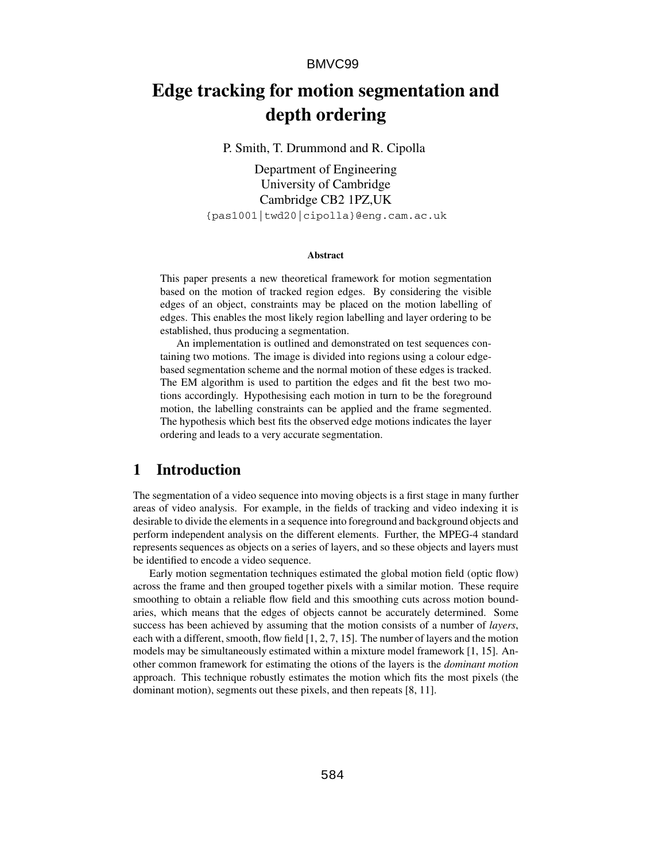# **Edge tracking for motion segmentation and depth ordering**

P. Smith, T. Drummond and R. Cipolla

Department of Engineering University of Cambridge Cambridge CB2 1PZ,UK {pas1001|twd20|cipolla}@eng.cam.ac.uk

#### **Abstract**

This paper presents a new theoretical framework for motion segmentation based on the motion of tracked region edges. By considering the visible edges of an object, constraints may be placed on the motion labelling of edges. This enables the most likely region labelling and layer ordering to be established, thus producing a segmentation.

An implementation is outlined and demonstrated on test sequences containing two motions. The image is divided into regions using a colour edgebased segmentation scheme and the normal motion of these edges is tracked. The EM algorithm is used to partition the edges and fit the best two motions accordingly. Hypothesising each motion in turn to be the foreground motion, the labelling constraints can be applied and the frame segmented. The hypothesis which best fits the observed edge motions indicates the layer ordering and leads to a very accurate segmentation.

# **1 Introduction**

The segmentation of a video sequence into moving objects is a first stage in many further areas of video analysis. For example, in the fields of tracking and video indexing it is desirable to divide the elements in a sequence into foreground and background objects and perform independent analysis on the different elements. Further, the MPEG-4 standard represents sequences as objects on a series of layers, and so these objects and layers must be identified to encode a video sequence.

Early motion segmentation techniques estimated the global motion field (optic flow) across the frame and then grouped together pixels with a similar motion. These require smoothing to obtain a reliable flow field and this smoothing cuts across motion boundaries, which means that the edges of objects cannot be accurately determined. Some success has been achieved by assuming that the motion consists of a number of *layers*, each with a different, smooth, flow field [1, 2, 7, 15]. The number of layers and the motion models may be simultaneously estimated within a mixture model framework [1, 15]. Another common framework for estimating the otions of the layers is the *dominant motion* approach. This technique robustly estimates the motion which fits the most pixels (the dominant motion), segments out these pixels, and then repeats [8, 11].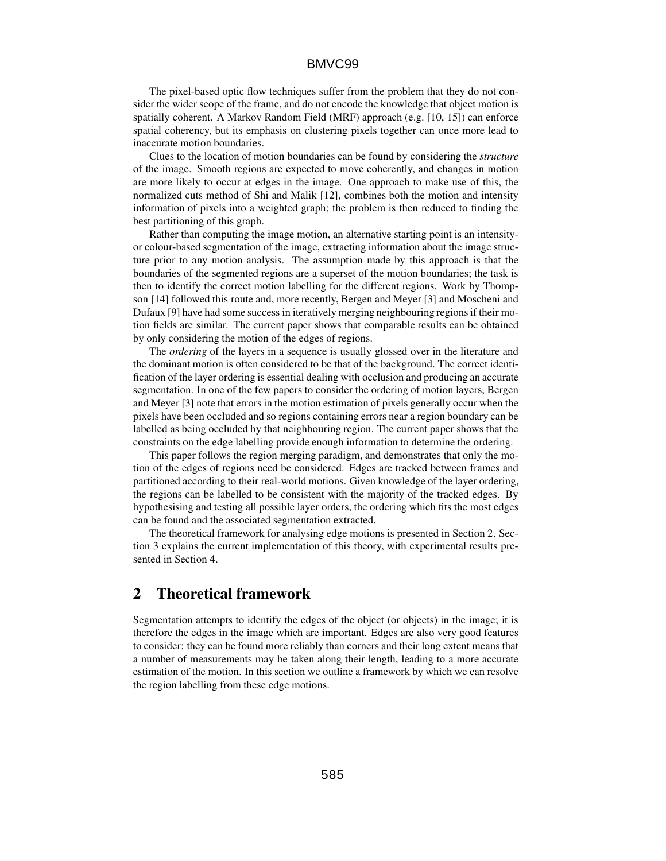The pixel-based optic flow techniques suffer from the problem that they do not consider the wider scope of the frame, and do not encode the knowledge that object motion is spatially coherent. A Markov Random Field (MRF) approach (e.g. [10, 15]) can enforce spatial coherency, but its emphasis on clustering pixels together can once more lead to inaccurate motion boundaries.

Clues to the location of motion boundaries can be found by considering the *structure* of the image. Smooth regions are expected to move coherently, and changes in motion are more likely to occur at edges in the image. One approach to make use of this, the normalized cuts method of Shi and Malik [12], combines both the motion and intensity information of pixels into a weighted graph; the problem is then reduced to finding the best partitioning of this graph.

Rather than computing the image motion, an alternative starting point is an intensityor colour-based segmentation of the image, extracting information about the image structure prior to any motion analysis. The assumption made by this approach is that the boundaries of the segmented regions are a superset of the motion boundaries; the task is then to identify the correct motion labelling for the different regions. Work by Thompson [14] followed this route and, more recently, Bergen and Meyer [3] and Moscheni and Dufaux [9] have had some success in iteratively merging neighbouring regions if their motion fields are similar. The current paper shows that comparable results can be obtained by only considering the motion of the edges of regions.

The *ordering* of the layers in a sequence is usually glossed over in the literature and the dominant motion is often considered to be that of the background. The correct identification of the layer ordering is essential dealing with occlusion and producing an accurate segmentation. In one of the few papers to consider the ordering of motion layers, Bergen and Meyer [3] note that errors in the motion estimation of pixels generally occur when the pixels have been occluded and so regions containing errors near a region boundary can be labelled as being occluded by that neighbouring region. The current paper shows that the constraints on the edge labelling provide enough information to determine the ordering.

This paper follows the region merging paradigm, and demonstrates that only the motion of the edges of regions need be considered. Edges are tracked between frames and partitioned according to their real-world motions. Given knowledge of the layer ordering, the regions can be labelled to be consistent with the majority of the tracked edges. By hypothesising and testing all possible layer orders, the ordering which fits the most edges can be found and the associated segmentation extracted.

The theoretical framework for analysing edge motions is presented in Section 2. Section 3 explains the current implementation of this theory, with experimental results presented in Section 4.

# **2 Theoretical framework**

Segmentation attempts to identify the edges of the object (or objects) in the image; it is therefore the edges in the image which are important. Edges are also very good features to consider: they can be found more reliably than corners and their long extent means that a number of measurements may be taken along their length, leading to a more accurate estimation of the motion. In this section we outline a framework by which we can resolve the region labelling from these edge motions.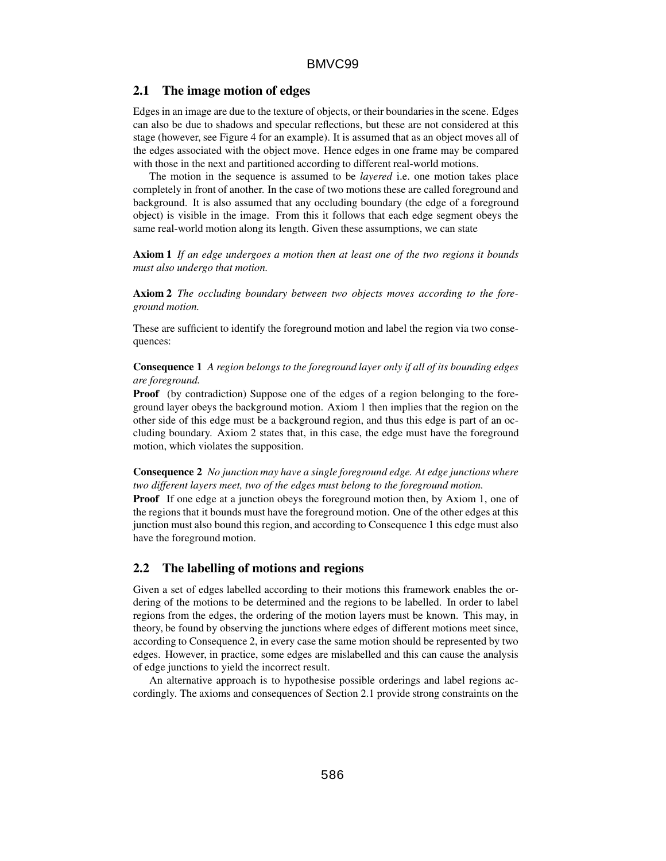### **2.1 The image motion of edges**

Edges in an image are due to the texture of objects, or their boundaries in the scene. Edges can also be due to shadows and specular reflections, but these are not considered at this stage (however, see Figure 4 for an example). It is assumed that as an object moves all of the edges associated with the object move. Hence edges in one frame may be compared with those in the next and partitioned according to different real-world motions.

The motion in the sequence is assumed to be *layered* i.e. one motion takes place completely in front of another. In the case of two motions these are called foreground and background. It is also assumed that any occluding boundary (the edge of a foreground object) is visible in the image. From this it follows that each edge segment obeys the same real-world motion along its length. Given these assumptions, we can state

**Axiom 1** *If an edge undergoes a motion then at least one of the two regions it bounds must also undergo that motion.*

**Axiom 2** *The occluding boundary between two objects moves according to the foreground motion.*

These are sufficient to identify the foreground motion and label the region via two consequences:

**Consequence 1** *A region belongs to the foreground layer only if all of its bounding edges are foreground.*

**Proof** (by contradiction) Suppose one of the edges of a region belonging to the foreground layer obeys the background motion. Axiom 1 then implies that the region on the other side of this edge must be a background region, and thus this edge is part of an occluding boundary. Axiom 2 states that, in this case, the edge must have the foreground motion, which violates the supposition.

**Consequence 2** *No junction may have a single foreground edge. At edge junctions where two different layers meet, two of the edges must belong to the foreground motion.*

**Proof** If one edge at a junction obeys the foreground motion then, by Axiom 1, one of the regions that it bounds must have the foreground motion. One of the other edges at this junction must also bound this region, and according to Consequence 1 this edge must also have the foreground motion.

# **2.2 The labelling of motions and regions**

Given a set of edges labelled according to their motions this framework enables the ordering of the motions to be determined and the regions to be labelled. In order to label regions from the edges, the ordering of the motion layers must be known. This may, in theory, be found by observing the junctions where edges of different motions meet since, according to Consequence 2, in every case the same motion should be represented by two edges. However, in practice, some edges are mislabelled and this can cause the analysis of edge junctions to yield the incorrect result.

An alternative approach is to hypothesise possible orderings and label regions accordingly. The axioms and consequences of Section 2.1 provide strong constraints on the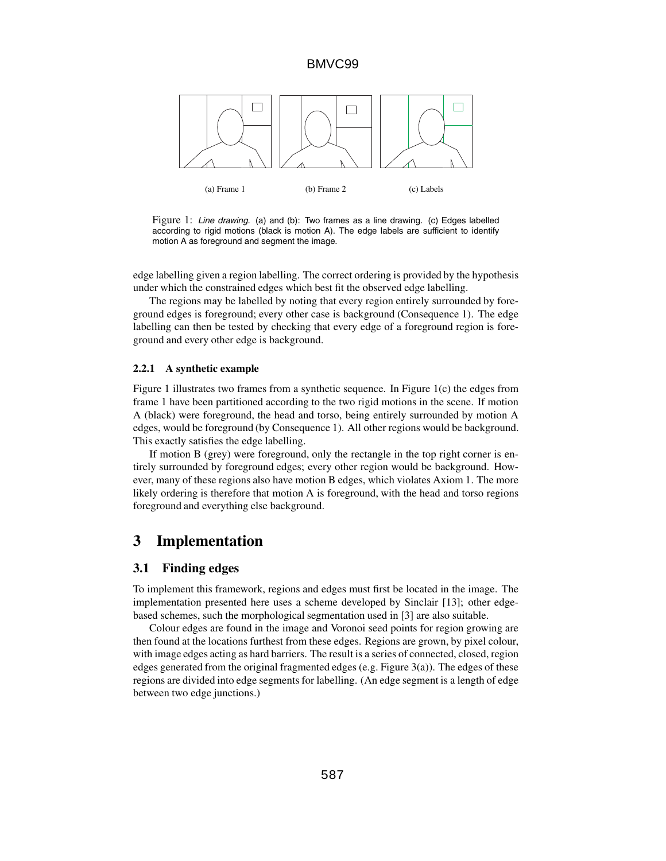

Figure 1: Line drawing. (a) and (b): Two frames as a line drawing. (c) Edges labelled according to rigid motions (black is motion A). The edge labels are sufficient to identify motion A as foreground and segment the image.

edge labelling given a region labelling. The correct ordering is provided by the hypothesis under which the constrained edges which best fit the observed edge labelling.

The regions may be labelled by noting that every region entirely surrounded by foreground edges is foreground; every other case is background (Consequence 1). The edge labelling can then be tested by checking that every edge of a foreground region is foreground and every other edge is background.

#### **2.2.1 A synthetic example**

Figure 1 illustrates two frames from a synthetic sequence. In Figure 1(c) the edges from frame 1 have been partitioned according to the two rigid motions in the scene. If motion A (black) were foreground, the head and torso, being entirely surrounded by motion A edges, would be foreground (by Consequence 1). All other regions would be background. This exactly satisfies the edge labelling.

If motion B (grey) were foreground, only the rectangle in the top right corner is entirely surrounded by foreground edges; every other region would be background. However, many of these regions also have motion B edges, which violates Axiom 1. The more likely ordering is therefore that motion A is foreground, with the head and torso regions foreground and everything else background.

# **3 Implementation**

# **3.1 Finding edges**

To implement this framework, regions and edges must first be located in the image. The implementation presented here uses a scheme developed by Sinclair [13]; other edgebased schemes, such the morphological segmentation used in [3] are also suitable.

Colour edges are found in the image and Voronoi seed points for region growing are then found at the locations furthest from these edges. Regions are grown, by pixel colour, with image edges acting as hard barriers. The result is a series of connected, closed, region edges generated from the original fragmented edges (e.g. Figure 3(a)). The edges of these regions are divided into edge segments for labelling. (An edge segment is a length of edge between two edge junctions.)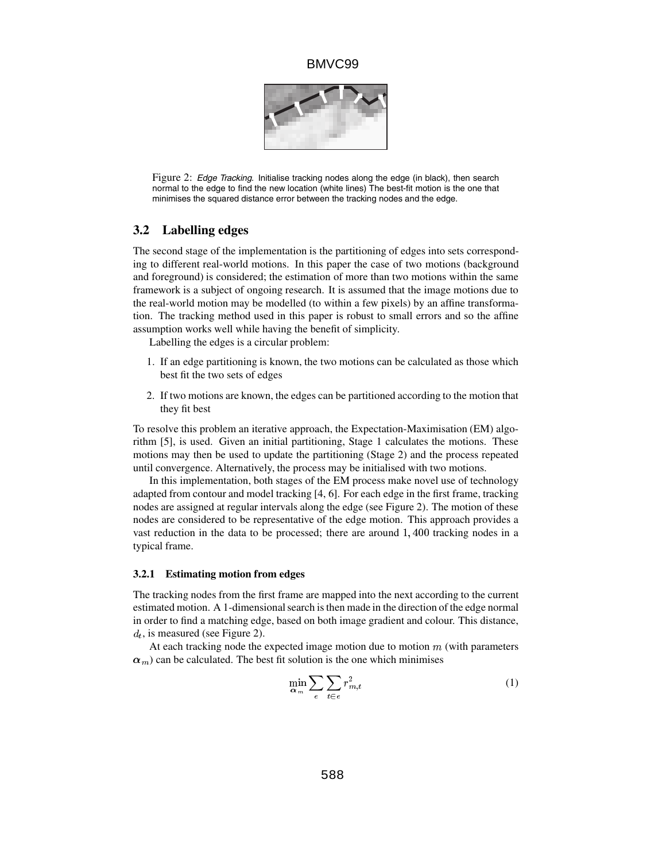

Figure 2: Edge Tracking. Initialise tracking nodes along the edge (in black), then search normal to the edge to find the new location (white lines) The best-fit motion is the one that minimises the squared distance error between the tracking nodes and the edge.

# **3.2 Labelling edges**

The second stage of the implementation is the partitioning of edges into sets corresponding to different real-world motions. In this paper the case of two motions (background and foreground) is considered; the estimation of more than two motions within the same framework is a subject of ongoing research. It is assumed that the image motions due to the real-world motion may be modelled (to within a few pixels) by an affine transformation. The tracking method used in this paper is robust to small errors and so the affine assumption works well while having the benefit of simplicity.

Labelling the edges is a circular problem:

- 1. If an edge partitioning is known, the two motions can be calculated as those which best fit the two sets of edges
- 2. If two motions are known, the edges can be partitioned according to the motion that they fit best

To resolve this problem an iterative approach, the Expectation-Maximisation (EM) algorithm [5], is used. Given an initial partitioning, Stage 1 calculates the motions. These motions may then be used to update the partitioning (Stage 2) and the process repeated until convergence. Alternatively, the process may be initialised with two motions.

In this implementation, both stages of the EM process make novel use of technology adapted from contour and model tracking [4, 6]. For each edge in the first frame, tracking nodes are assigned at regular intervals along the edge (see Figure 2). The motion of these nodes are considered to be representative of the edge motion. This approach provides a vast reduction in the data to be processed; there are around 1; <sup>400</sup> tracking nodes in a typical frame.

#### **3.2.1 Estimating motion from edges**

The tracking nodes from the first frame are mapped into the next according to the current estimated motion. A 1-dimensional search is then made in the direction of the edge normal in order to find a matching edge, based on both image gradient and colour. This distance,  $d_t$ , is measured (see Figure 2).

At each tracking node the expected image motion due to motion  $m$  (with parameters  $\alpha_m$ ) can be calculated. The best fit solution is the one which minimises

$$
\min_{\alpha_m} \sum_{e} \sum_{t \in e} r_{m,t}^2 \tag{1}
$$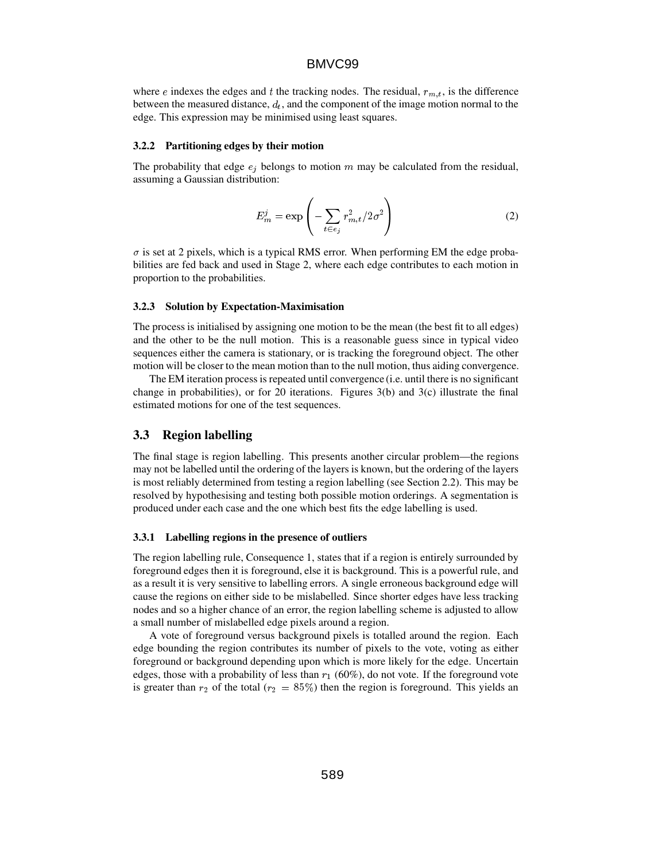where e indexes the edges and t the tracking nodes. The residual,  $r_{m,t}$ , is the difference between the measured distance,  $d_t$ , and the component of the image motion normal to the edge. This expression may be minimised using least squares.

#### **3.2.2 Partitioning edges by their motion**

The probability that edge  $e_i$  belongs to motion m may be calculated from the residual, assuming a Gaussian distribution:

$$
E_m^j = \exp\left(-\sum_{t \in e_j} r_{m,t}^2 / 2\sigma^2\right)
$$
 (2)

 $\sigma$  is set at 2 pixels, which is a typical RMS error. When performing EM the edge probabilities are fed back and used in Stage 2, where each edge contributes to each motion in proportion to the probabilities.

#### **3.2.3 Solution by Expectation-Maximisation**

The process is initialised by assigning one motion to be the mean (the best fit to all edges) and the other to be the null motion. This is a reasonable guess since in typical video sequences either the camera is stationary, or is tracking the foreground object. The other motion will be closer to the mean motion than to the null motion, thus aiding convergence.

The EM iteration process is repeated until convergence (i.e. until there is no significant change in probabilities), or for 20 iterations. Figures 3(b) and 3(c) illustrate the final estimated motions for one of the test sequences.

# **3.3 Region labelling**

The final stage is region labelling. This presents another circular problem—the regions may not be labelled until the ordering of the layers is known, but the ordering of the layers is most reliably determined from testing a region labelling (see Section 2.2). This may be resolved by hypothesising and testing both possible motion orderings. A segmentation is produced under each case and the one which best fits the edge labelling is used.

#### **3.3.1 Labelling regions in the presence of outliers**

The region labelling rule, Consequence 1, states that if a region is entirely surrounded by foreground edges then it is foreground, else it is background. This is a powerful rule, and as a result it is very sensitive to labelling errors. A single erroneous background edge will cause the regions on either side to be mislabelled. Since shorter edges have less tracking nodes and so a higher chance of an error, the region labelling scheme is adjusted to allow a small number of mislabelled edge pixels around a region.

A vote of foreground versus background pixels is totalled around the region. Each edge bounding the region contributes its number of pixels to the vote, voting as either foreground or background depending upon which is more likely for the edge. Uncertain edges, those with a probability of less than  $r_1$  (60%), do not vote. If the foreground vote is greater than  $r_2$  of the total ( $r_2 = 85\%$ ) then the region is foreground. This yields an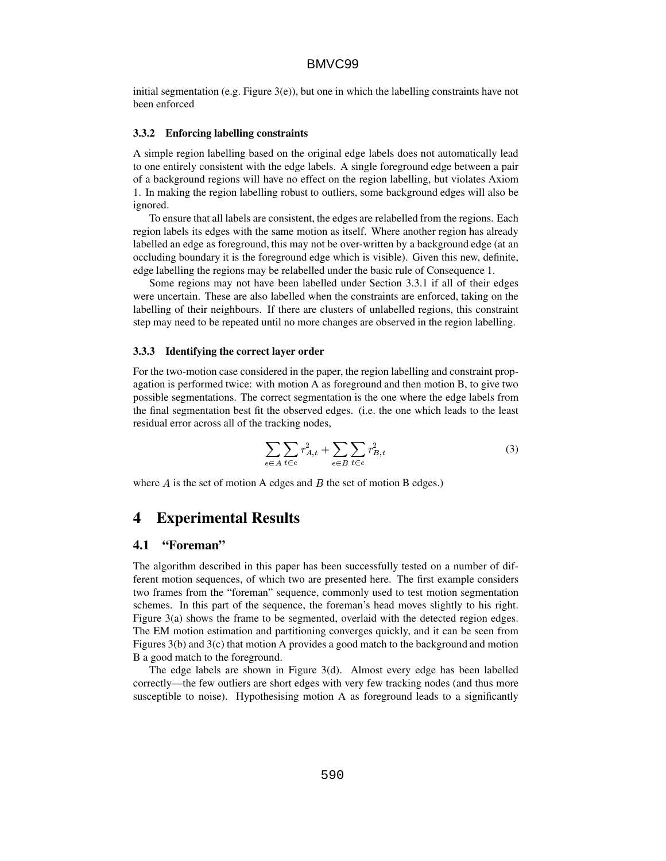initial segmentation (e.g. Figure  $3(e)$ ), but one in which the labelling constraints have not been enforced

#### **3.3.2 Enforcing labelling constraints**

A simple region labelling based on the original edge labels does not automatically lead to one entirely consistent with the edge labels. A single foreground edge between a pair of a background regions will have no effect on the region labelling, but violates Axiom 1. In making the region labelling robust to outliers, some background edges will also be ignored.

To ensure that all labels are consistent, the edges are relabelled from the regions. Each region labels its edges with the same motion as itself. Where another region has already labelled an edge as foreground, this may not be over-written by a background edge (at an occluding boundary it is the foreground edge which is visible). Given this new, definite, edge labelling the regions may be relabelled under the basic rule of Consequence 1.

Some regions may not have been labelled under Section 3.3.1 if all of their edges were uncertain. These are also labelled when the constraints are enforced, taking on the labelling of their neighbours. If there are clusters of unlabelled regions, this constraint step may need to be repeated until no more changes are observed in the region labelling.

#### **3.3.3 Identifying the correct layer order**

For the two-motion case considered in the paper, the region labelling and constraint propagation is performed twice: with motion A as foreground and then motion B, to give two possible segmentations. The correct segmentation is the one where the edge labels from the final segmentation best fit the observed edges. (i.e. the one which leads to the least residual error across all of the tracking nodes,

$$
\sum_{e \in A} \sum_{t \in e} r_{A,t}^2 + \sum_{e \in B} \sum_{t \in e} r_{B,t}^2 \tag{3}
$$

where  $A$  is the set of motion A edges and  $B$  the set of motion B edges.)

# **4 Experimental Results**

### **4.1 "Foreman"**

The algorithm described in this paper has been successfully tested on a number of different motion sequences, of which two are presented here. The first example considers two frames from the "foreman" sequence, commonly used to test motion segmentation schemes. In this part of the sequence, the foreman's head moves slightly to his right. Figure 3(a) shows the frame to be segmented, overlaid with the detected region edges. The EM motion estimation and partitioning converges quickly, and it can be seen from Figures 3(b) and 3(c) that motion A provides a good match to the background and motion B a good match to the foreground.

The edge labels are shown in Figure 3(d). Almost every edge has been labelled correctly—the few outliers are short edges with very few tracking nodes (and thus more susceptible to noise). Hypothesising motion A as foreground leads to a significantly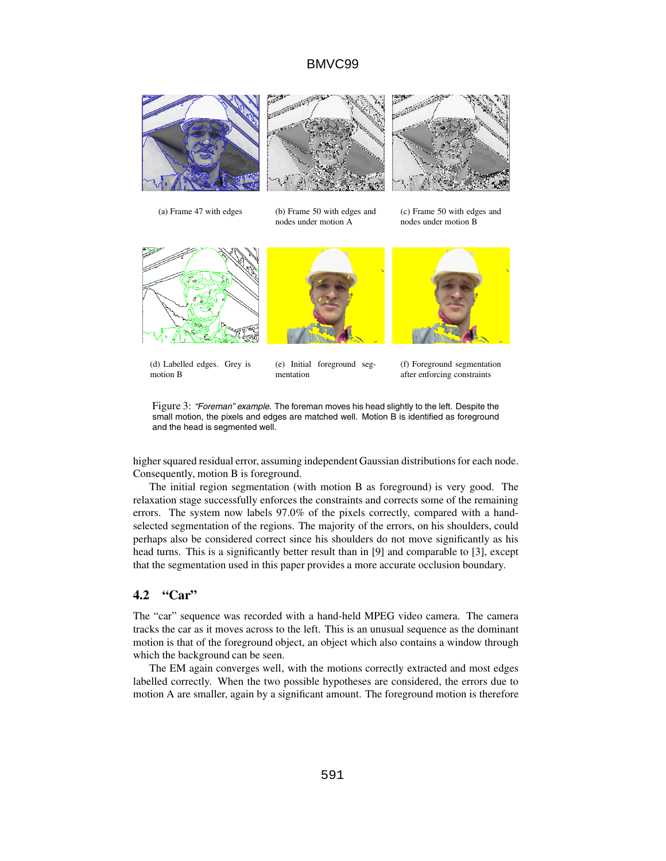

Figure 3: "Foreman" example. The foreman moves his head slightly to the left. Despite the small motion, the pixels and edges are matched well. Motion B is identified as foreground and the head is segmented well.

higher squared residual error, assuming independent Gaussian distributions for each node. Consequently, motion B is foreground.

The initial region segmentation (with motion B as foreground) is very good. The relaxation stage successfully enforces the constraints and corrects some of the remaining errors. The system now labels 97.0% of the pixels correctly, compared with a handselected segmentation of the regions. The majority of the errors, on his shoulders, could perhaps also be considered correct since his shoulders do not move significantly as his head turns. This is a significantly better result than in [9] and comparable to [3], except that the segmentation used in this paper provides a more accurate occlusion boundary.

# **4.2 "Car"**

The "car" sequence was recorded with a hand-held MPEG video camera. The camera tracks the car as it moves across to the left. This is an unusual sequence as the dominant motion is that of the foreground object, an object which also contains a window through which the background can be seen.

The EM again converges well, with the motions correctly extracted and most edges labelled correctly. When the two possible hypotheses are considered, the errors due to motion A are smaller, again by a significant amount. The foreground motion is therefore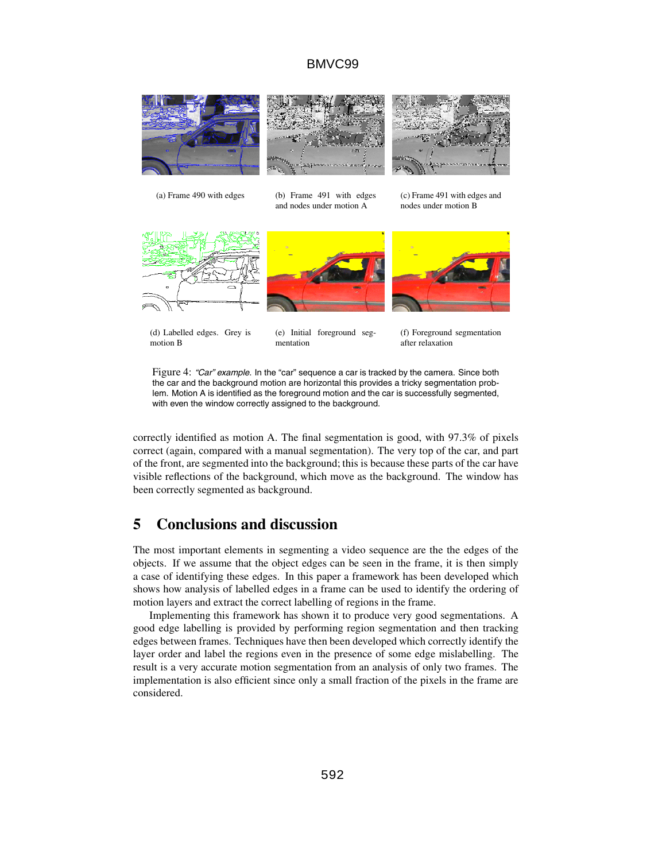

(d) Labelled edges. Grey is motion B

(e) Initial foreground seg-

(f) Foreground segmentation

after relaxation

Figure 4: "Car" example. In the "car" sequence a car is tracked by the camera. Since both the car and the background motion are horizontal this provides a tricky segmentation prob-

lem. Motion A is identified as the foreground motion and the car is successfully segmented, with even the window correctly assigned to the background.

mentation

correctly identified as motion A. The final segmentation is good, with 97.3% of pixels correct (again, compared with a manual segmentation). The very top of the car, and part of the front, are segmented into the background; this is because these parts of the car have visible reflections of the background, which move as the background. The window has been correctly segmented as background.

# **5 Conclusions and discussion**

The most important elements in segmenting a video sequence are the the edges of the objects. If we assume that the object edges can be seen in the frame, it is then simply a case of identifying these edges. In this paper a framework has been developed which shows how analysis of labelled edges in a frame can be used to identify the ordering of motion layers and extract the correct labelling of regions in the frame.

Implementing this framework has shown it to produce very good segmentations. A good edge labelling is provided by performing region segmentation and then tracking edges between frames. Techniques have then been developed which correctly identify the layer order and label the regions even in the presence of some edge mislabelling. The result is a very accurate motion segmentation from an analysis of only two frames. The implementation is also efficient since only a small fraction of the pixels in the frame are considered.